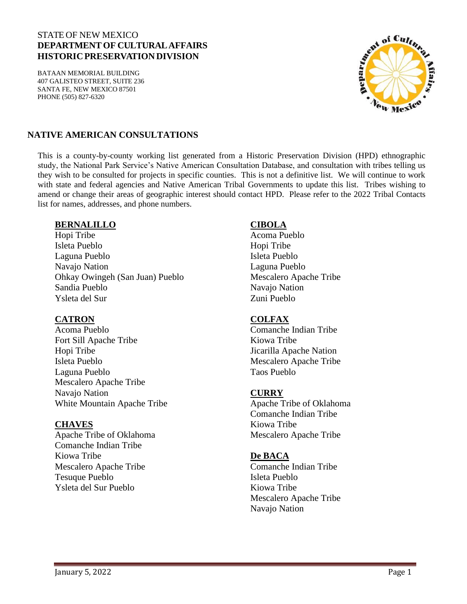#### STATE OF NEW MEXICO **DEPARTMENT OF CULTURALAFFAIRS HISTORICPRESERVATIONDIVISION**

BATAAN MEMORIAL BUILDING 407 GALISTEO STREET, SUITE 236 SANTA FE, NEW MEXICO 87501 PHONE (505) 827-6320



### **NATIVE AMERICAN CONSULTATIONS**

This is a county-by-county working list generated from a Historic Preservation Division (HPD) ethnographic study, the National Park Service's Native American Consultation Database, and consultation with tribes telling us they wish to be consulted for projects in specific counties. This is not a definitive list. We will continue to work with state and federal agencies and Native American Tribal Governments to update this list. Tribes wishing to amend or change their areas of geographic interest should contact HPD. Please refer to the 2022 Tribal Contacts list for names, addresses, and phone numbers.

#### **BERNALILLO**

Hopi Tribe Isleta Pueblo Laguna Pueblo Navajo Nation Ohkay Owingeh (San Juan) Pueblo Sandia Pueblo Ysleta del Sur

#### **CATRON**

Acoma Pueblo Fort Sill Apache Tribe Hopi Tribe Isleta Pueblo Laguna Pueblo Mescalero Apache Tribe Navajo Nation White Mountain Apache Tribe

### **CHAVES**

Apache Tribe of Oklahoma Comanche Indian Tribe Kiowa Tribe Mescalero Apache Tribe Tesuque Pueblo Ysleta del Sur Pueblo

#### **CIBOLA**

Acoma Pueblo Hopi Tribe Isleta Pueblo Laguna Pueblo Mescalero Apache Tribe Navajo Nation Zuni Pueblo

#### **COLFAX**

Comanche Indian Tribe Kiowa Tribe Jicarilla Apache Nation Mescalero Apache Tribe Taos Pueblo

### **CURRY**

Apache Tribe of Oklahoma Comanche Indian Tribe Kiowa Tribe Mescalero Apache Tribe

### **De BACA**

Comanche Indian Tribe Isleta Pueblo Kiowa Tribe Mescalero Apache Tribe Navajo Nation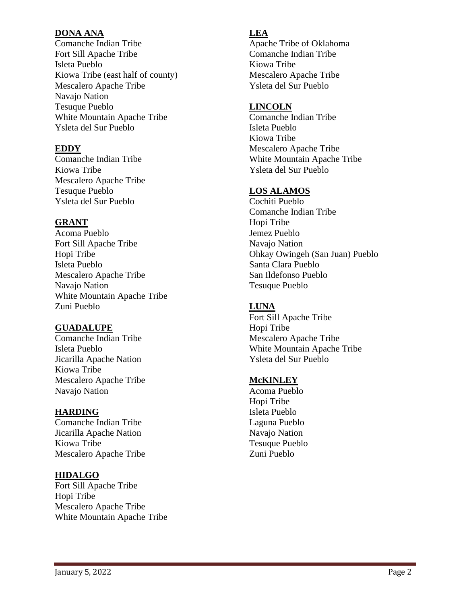#### **DONA ANA**

Comanche Indian Tribe Fort Sill Apache Tribe Isleta Pueblo Kiowa Tribe (east half of county) Mescalero Apache Tribe Navajo Nation Tesuque Pueblo White Mountain Apache Tribe Ysleta del Sur Pueblo

## **EDDY**

Comanche Indian Tribe Kiowa Tribe Mescalero Apache Tribe Tesuque Pueblo Ysleta del Sur Pueblo

# **GRANT**

Acoma Pueblo Fort Sill Apache Tribe Hopi Tribe Isleta Pueblo Mescalero Apache Tribe Navajo Nation White Mountain Apache Tribe Zuni Pueblo

# **GUADALUPE**

Comanche Indian Tribe Isleta Pueblo Jicarilla Apache Nation Kiowa Tribe Mescalero Apache Tribe Navajo Nation

### **HARDING**

Comanche Indian Tribe Jicarilla Apache Nation Kiowa Tribe Mescalero Apache Tribe

### **HIDALGO**

Fort Sill Apache Tribe Hopi Tribe Mescalero Apache Tribe White Mountain Apache Tribe

# **LEA**

Apache Tribe of Oklahoma Comanche Indian Tribe Kiowa Tribe Mescalero Apache Tribe Ysleta del Sur Pueblo

### **LINCOLN**

Comanche Indian Tribe Isleta Pueblo Kiowa Tribe Mescalero Apache Tribe White Mountain Apache Tribe Ysleta del Sur Pueblo

# **LOS ALAMOS**

Cochiti Pueblo Comanche Indian Tribe Hopi Tribe Jemez Pueblo Navajo Nation Ohkay Owingeh (San Juan) Pueblo Santa Clara Pueblo San Ildefonso Pueblo Tesuque Pueblo

# **LUNA**

Fort Sill Apache Tribe Hopi Tribe Mescalero Apache Tribe White Mountain Apache Tribe Ysleta del Sur Pueblo

### **McKINLEY**

Acoma Pueblo Hopi Tribe Isleta Pueblo Laguna Pueblo Navajo Nation Tesuque Pueblo Zuni Pueblo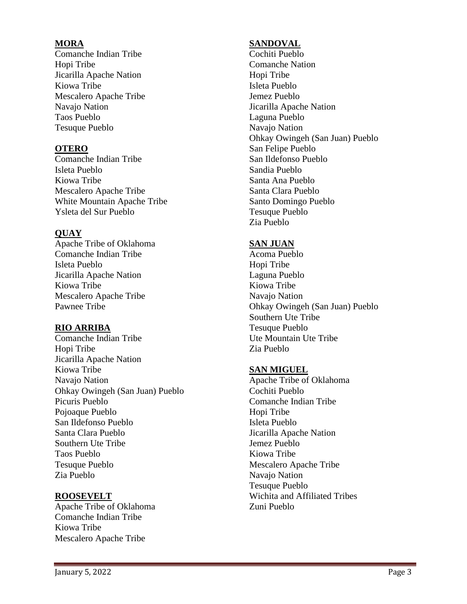### **MORA**

Comanche Indian Tribe Hopi Tribe Jicarilla Apache Nation Kiowa Tribe Mescalero Apache Tribe Navajo Nation Taos Pueblo Tesuque Pueblo

# **OTERO**

Comanche Indian Tribe Isleta Pueblo Kiowa Tribe Mescalero Apache Tribe White Mountain Apache Tribe Ysleta del Sur Pueblo

# **QUAY**

Apache Tribe of Oklahoma Comanche Indian Tribe Isleta Pueblo Jicarilla Apache Nation Kiowa Tribe Mescalero Apache Tribe Pawnee Tribe

# **RIO ARRIBA**

Comanche Indian Tribe Hopi Tribe Jicarilla Apache Nation Kiowa Tribe Navajo Nation Ohkay Owingeh (San Juan) Pueblo Picuris Pueblo Pojoaque Pueblo San Ildefonso Pueblo Santa Clara Pueblo Southern Ute Tribe Taos Pueblo Tesuque Pueblo Zia Pueblo

### **ROOSEVELT**

Apache Tribe of Oklahoma Comanche Indian Tribe Kiowa Tribe Mescalero Apache Tribe

# **SANDOVAL**

Cochiti Pueblo Comanche Nation Hopi Tribe Isleta Pueblo Jemez Pueblo Jicarilla Apache Nation Laguna Pueblo Navajo Nation Ohkay Owingeh (San Juan) Pueblo San Felipe Pueblo San Ildefonso Pueblo Sandia Pueblo Santa Ana Pueblo Santa Clara Pueblo Santo Domingo Pueblo Tesuque Pueblo Zia Pueblo

# **SAN JUAN**

Acoma Pueblo Hopi Tribe Laguna Pueblo Kiowa Tribe Navajo Nation Ohkay Owingeh (San Juan) Pueblo Southern Ute Tribe Tesuque Pueblo Ute Mountain Ute Tribe Zia Pueblo

### **SAN MIGUEL**

Apache Tribe of Oklahoma Cochiti Pueblo Comanche Indian Tribe Hopi Tribe Isleta Pueblo Jicarilla Apache Nation Jemez Pueblo Kiowa Tribe Mescalero Apache Tribe Navajo Nation Tesuque Pueblo Wichita and Affiliated Tribes Zuni Pueblo